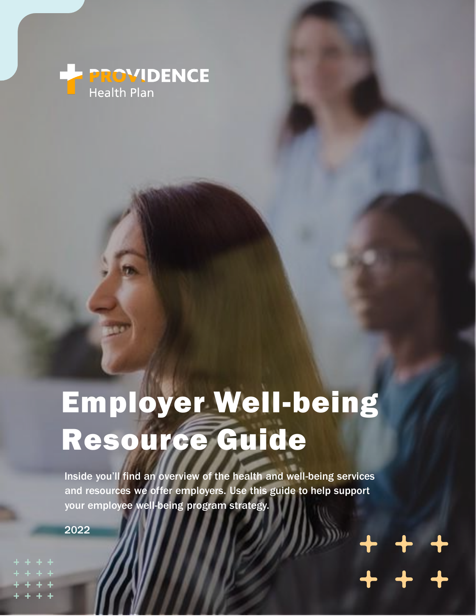

# Employer Well-being Resource Guide

Inside you'll find an overview of the health and well-being services and resources we offer employers. Use this guide to help support your employee well-being program strategy.

2022

+ + +  $+ + +$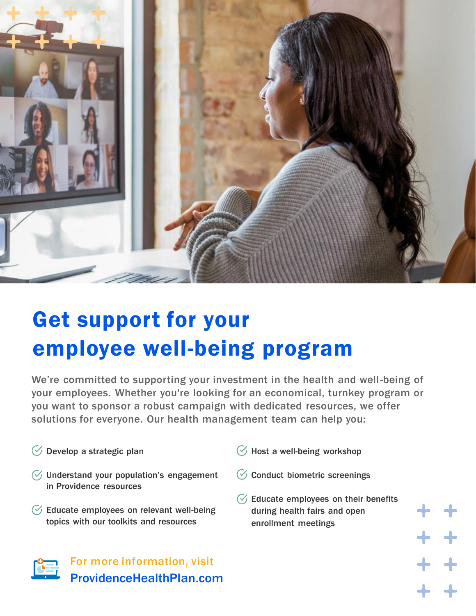

# Get support for your employee well-being program

We're committed to supporting your investment in the health and well-being of your employees. Whether you're looking for an economical, turnkey program or you want to sponsor a robust campaign with dedicated resources, we offer solutions for everyone. Our health management team can help you:

- $\heartsuit$  Develop a strategic plan
- $\heartsuit$  Understand your population's engagement in Providence resources
- $\heartsuit$  Educate employees on relevant well-being topics with our toolkits and resources
	- For more information, visit ProvidenceHealthPlan.com
- $\mathcal G$  Host a well-being workshop
- $\heartsuit$  Conduct biometric screenings
- $\heartsuit$  Educate employees on their benefits during health fairs and open enrollment meetings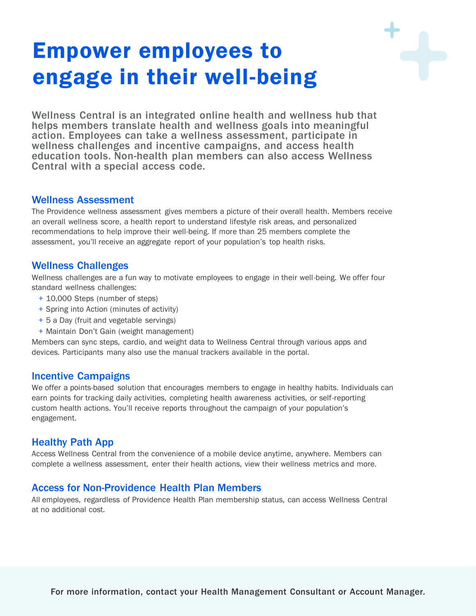## Empower employees to engage in their well-being

Wellness Central is an integrated online health and wellness hub that helps members translate health and wellness goals into meaningful action. Employees can take a wellness assessment, participate in wellness challenges and incentive campaigns, and access health education tools. Non-health plan members can also access Wellness Central with a special access code.

#### Wellness Assessment

The Providence wellness assessment gives members a picture of their overall health. Members receive an overall wellness score, a health report to understand lifestyle risk areas, and personalized recommendations to help improve their well-being. If more than 25 members complete the assessment, you'll receive an aggregate report of your population's top health risks.

#### Wellness Challenges

Wellness challenges are a fun way to motivate employees to engage in their well-being. We offer four standard wellness challenges:

- + 10,000 Steps (number of steps)
- + Spring into Action (minutes of activity)
- + 5 a Day (fruit and vegetable servings)
- + Maintain Don't Gain (weight management)

Members can sync steps, cardio, and weight data to Wellness Central through various apps and devices. Participants many also use the manual trackers available in the portal.

#### Incentive Campaigns

We offer a points-based solution that encourages members to engage in healthy habits. Individuals can earn points for tracking daily activities, completing health awareness activities, or self-reporting custom health actions. You'll receive reports throughout the campaign of your population's engagement.

### Healthy Path App

Access Wellness Central from the convenience of a mobile device anytime, anywhere. Members can complete a wellness assessment, enter their health actions, view their wellness metrics and more.

#### Access for Non-Providence Health Plan Members

All employees, regardless of Providence Health Plan membership status, can access Wellness Central at no additional cost.